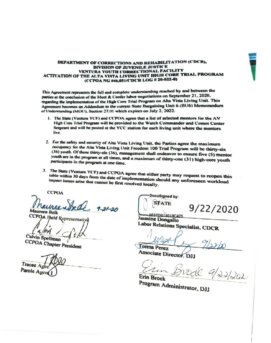

## DEPARTMENT OF CORRECTIONS AND REHABILITATION (CDCR), DIVISION OF JUVENILE JUSTICE VENTURA YOUTH CORRECTIONAL FACILITY ACTIVATION OF THE ALTA VISTA LIVING UNIT HIGH CORE TRIAL PROGRAM (CCPOA NG #46,051/CDCR LOG # 20-022-0)

This Agreement represents the full and complete understanding reached by and between the parties at the conclusion of the Meet & Confer labor negotiations on September 21, 2020, regarding the implementation of the High Core Trial Program on Alta Vista Living Unit. This Agreement becomes an Addendum to the current State Bargaining Unit 6 (BU6) Memorandum of Understanding (MOU), Section 27.01 which expires on July 2, 2022.

- 1. The State (Ventura YCF) and CCPOA agree that a list of selected mentors for the AV High Core Trial Program will be provided to the Watch Commander and Comm Center Sergeant and will be posted at the YCC station for each living unit where the mentors live.
- 2. For the safety and security of Alta Vista Living Unit, the Parties agree the maximum occupancy for the Alta Vista Living Unit Freedom 100 Trial Program will be thirty-six (36) youth. Of these thirty-six (36), management shall endeavor to ensure five (5) mentor youth are in the program at all times, and a maximum of thirty-one (31) high-core youth participants in the program at one time.
- 3. The State (Ventura YCF) and CCPOA agree that either party may request to reopen this table within 30 days from the date of implementation should any unforeseen workload impact issues arise that cannot be first resolved locally.

**CCPOA** 

 $\mathcal{L}$ dl  $7 - 21 - 20$ **Maureen Belk** 

CCPOA Field Representative

**Calvin Spellman** 

**CCPOA Chapter President** 

Tracee A Parole Agen

DocuSigned by: **STATE** 

9/22/2020

A637DB74619C425 Jasmine Dongallo Labor Relations Specialist, CDCR

**Teresa Perez** 

Associate Director. DJJ

Erin Brock

Program Administrator, DJJ